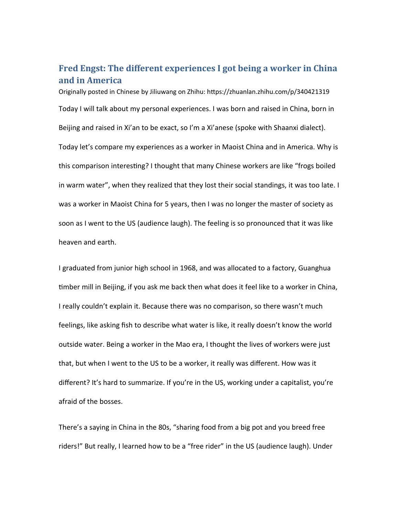## **Fred Engst: The different experiences I got being a worker in China and in America**

Originally posted in Chinese by Jiliuwang on Zhihu: https://zhuanlan.zhihu.com/p/340421319 Today I will talk about my personal experiences. I was born and raised in China, born in Beijing and raised in Xi'an to be exact, so I'm a Xi'anese (spoke with Shaanxi dialect). Today let's compare my experiences as a worker in Maoist China and in America. Why is this comparison interesting? I thought that many Chinese workers are like "frogs boiled in warm water", when they realized that they lost their social standings, it was too late. I was a worker in Maoist China for 5 years, then I was no longer the master of society as soon as I went to the US (audience laugh). The feeling is so pronounced that it was like heaven and earth.

I graduated from junior high school in 1968, and was allocated to a factory, Guanghua timber mill in Beijing, if you ask me back then what does it feel like to a worker in China, I really couldn't explain it. Because there was no comparison, so there wasn't much feelings, like asking fish to describe what water is like, it really doesn't know the world outside water. Being a worker in the Mao era, I thought the lives of workers were just that, but when I went to the US to be a worker, it really was different. How was it different? It's hard to summarize. If you're in the US, working under a capitalist, you're afraid of the bosses.

There's a saying in China in the 80s, "sharing food from a big pot and you breed free riders!" But really, I learned how to be a "free rider" in the US (audience laugh). Under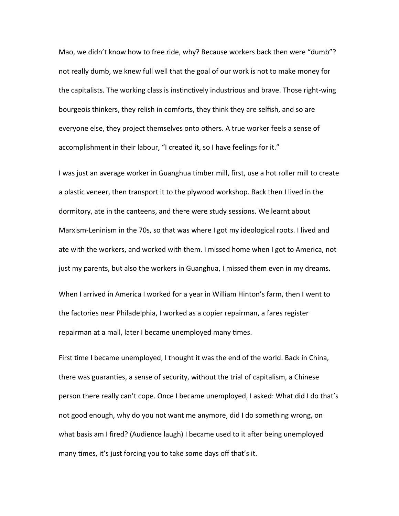Mao, we didn't know how to free ride, why? Because workers back then were "dumb"? not really dumb, we knew full well that the goal of our work is not to make money for the capitalists. The working class is instinctively industrious and brave. Those right-wing bourgeois thinkers, they relish in comforts, they think they are selfish, and so are everyone else, they project themselves onto others. A true worker feels a sense of accomplishment in their labour, "I created it, so I have feelings for it."

I was just an average worker in Guanghua timber mill, first, use a hot roller mill to create a plastic veneer, then transport it to the plywood workshop. Back then I lived in the dormitory, ate in the canteens, and there were study sessions. We learnt about Marxism-Leninism in the 70s, so that was where I got my ideological roots. I lived and ate with the workers, and worked with them. I missed home when I got to America, not just my parents, but also the workers in Guanghua, I missed them even in my dreams.

When I arrived in America I worked for a year in William Hinton's farm, then I went to the factories near Philadelphia, I worked as a copier repairman, a fares register repairman at a mall, later I became unemployed many times.

First time I became unemployed, I thought it was the end of the world. Back in China, there was guaranties, a sense of security, without the trial of capitalism, a Chinese person there really can't cope. Once I became unemployed, I asked: What did I do that's not good enough, why do you not want me anymore, did I do something wrong, on what basis am I fired? (Audience laugh) I became used to it after being unemployed many times, it's just forcing you to take some days off that's it.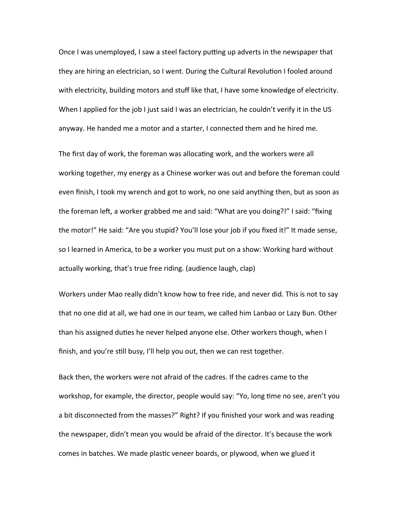Once I was unemployed, I saw a steel factory putting up adverts in the newspaper that they are hiring an electrician, so I went. During the Cultural Revolution I fooled around with electricity, building motors and stuff like that, I have some knowledge of electricity. When I applied for the job I just said I was an electrician, he couldn't verify it in the US anyway. He handed me a motor and a starter, I connected them and he hired me.

The first day of work, the foreman was allocating work, and the workers were all working together, my energy as a Chinese worker was out and before the foreman could even finish, I took my wrench and got to work, no one said anything then, but as soon as the foreman left, a worker grabbed me and said: "What are you doing?!" I said: "fixing the motor!" He said: "Are you stupid? You'll lose your job if you fixed it!" It made sense, so I learned in America, to be a worker you must put on a show: Working hard without actually working, that's true free riding. (audience laugh, clap)

Workers under Mao really didn't know how to free ride, and never did. This is not to say that no one did at all, we had one in our team, we called him Lanbao or Lazy Bun. Other than his assigned duties he never helped anyone else. Other workers though, when I finish, and you're still busy, I'll help you out, then we can rest together.

Back then, the workers were not afraid of the cadres. If the cadres came to the workshop, for example, the director, people would say: "Yo, long time no see, aren't you a bit disconnected from the masses?" Right? If you finished your work and was reading the newspaper, didn't mean you would be afraid of the director. It's because the work comes in batches. We made plastic veneer boards, or plywood, when we glued it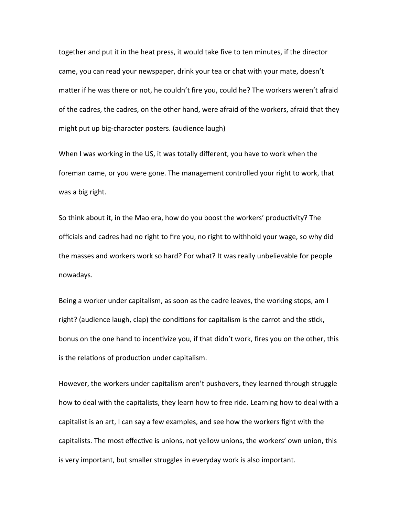together and put it in the heat press, it would take five to ten minutes, if the director came, you can read your newspaper, drink your tea or chat with your mate, doesn't matter if he was there or not, he couldn't fire you, could he? The workers weren't afraid of the cadres, the cadres, on the other hand, were afraid of the workers, afraid that they might put up big-character posters. (audience laugh)

When I was working in the US, it was totally different, you have to work when the foreman came, or you were gone. The management controlled your right to work, that was a big right.

So think about it, in the Mao era, how do you boost the workers' productivity? The officials and cadres had no right to fire you, no right to withhold your wage, so why did the masses and workers work so hard? For what? It was really unbelievable for people nowadays.

Being a worker under capitalism, as soon as the cadre leaves, the working stops, am I right? (audience laugh, clap) the conditions for capitalism is the carrot and the stick, bonus on the one hand to incentivize you, if that didn't work, fires you on the other, this is the relations of production under capitalism.

However, the workers under capitalism aren't pushovers, they learned through struggle how to deal with the capitalists, they learn how to free ride. Learning how to deal with a capitalist is an art, I can say a few examples, and see how the workers fight with the capitalists. The most effective is unions, not yellow unions, the workers' own union, this is very important, but smaller struggles in everyday work is also important.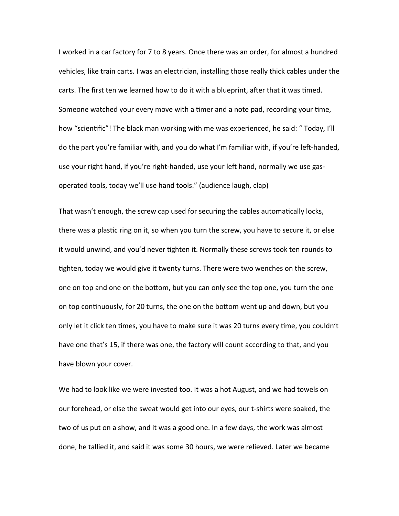I worked in a car factory for 7 to 8 years. Once there was an order, for almost a hundred vehicles, like train carts. I was an electrician, installing those really thick cables under the carts. The first ten we learned how to do it with a blueprint, after that it was timed. Someone watched your every move with a timer and a note pad, recording your time, how "scientific"! The black man working with me was experienced, he said: " Today, I'll do the part you're familiar with, and you do what I'm familiar with, if you're left-handed, use your right hand, if you're right-handed, use your left hand, normally we use gasoperated tools, today we'll use hand tools." (audience laugh, clap)

That wasn't enough, the screw cap used for securing the cables automatically locks, there was a plastic ring on it, so when you turn the screw, you have to secure it, or else it would unwind, and you'd never tighten it. Normally these screws took ten rounds to tighten, today we would give it twenty turns. There were two wenches on the screw, one on top and one on the bottom, but you can only see the top one, you turn the one on top continuously, for 20 turns, the one on the bottom went up and down, but you only let it click ten times, you have to make sure it was 20 turns every time, you couldn't have one that's 15, if there was one, the factory will count according to that, and you have blown your cover.

We had to look like we were invested too. It was a hot August, and we had towels on our forehead, or else the sweat would get into our eyes, our t-shirts were soaked, the two of us put on a show, and it was a good one. In a few days, the work was almost done, he tallied it, and said it was some 30 hours, we were relieved. Later we became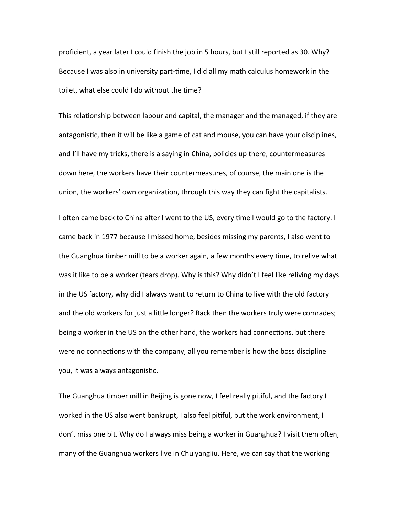proficient, a year later I could finish the job in 5 hours, but I still reported as 30. Why? Because I was also in university part-time, I did all my math calculus homework in the toilet, what else could I do without the time?

This relationship between labour and capital, the manager and the managed, if they are antagonistic, then it will be like a game of cat and mouse, you can have your disciplines, and I'll have my tricks, there is a saying in China, policies up there, countermeasures down here, the workers have their countermeasures, of course, the main one is the union, the workers' own organization, through this way they can fight the capitalists.

I often came back to China after I went to the US, every time I would go to the factory. I came back in 1977 because I missed home, besides missing my parents, I also went to the Guanghua timber mill to be a worker again, a few months every time, to relive what was it like to be a worker (tears drop). Why is this? Why didn't I feel like reliving my days in the US factory, why did I always want to return to China to live with the old factory and the old workers for just a little longer? Back then the workers truly were comrades; being a worker in the US on the other hand, the workers had connections, but there were no connections with the company, all you remember is how the boss discipline you, it was always antagonistic.

The Guanghua timber mill in Beijing is gone now, I feel really pitiful, and the factory I worked in the US also went bankrupt, I also feel pitiful, but the work environment, I don't miss one bit. Why do I always miss being a worker in Guanghua? I visit them often, many of the Guanghua workers live in Chuiyangliu. Here, we can say that the working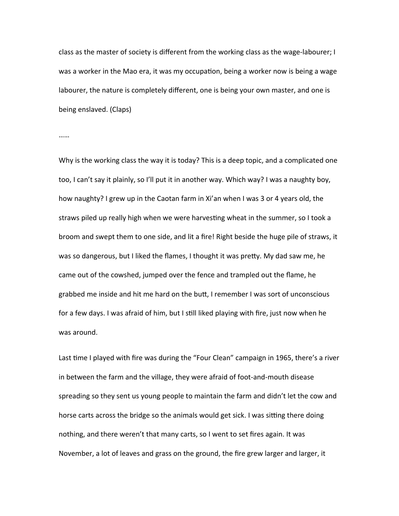class as the master of society is different from the working class as the wage-labourer; I was a worker in the Mao era, it was my occupation, being a worker now is being a wage labourer, the nature is completely different, one is being your own master, and one is being enslaved. (Claps)

……

Why is the working class the way it is today? This is a deep topic, and a complicated one too, I can't say it plainly, so I'll put it in another way. Which way? I was a naughty boy, how naughty? I grew up in the Caotan farm in Xi'an when I was 3 or 4 years old, the straws piled up really high when we were harvesting wheat in the summer, so I took a broom and swept them to one side, and lit a fire! Right beside the huge pile of straws, it was so dangerous, but I liked the flames, I thought it was pretty. My dad saw me, he came out of the cowshed, jumped over the fence and trampled out the flame, he grabbed me inside and hit me hard on the butt, I remember I was sort of unconscious for a few days. I was afraid of him, but I still liked playing with fire, just now when he was around.

Last time I played with fire was during the "Four Clean" campaign in 1965, there's a river in between the farm and the village, they were afraid of foot-and-mouth disease spreading so they sent us young people to maintain the farm and didn't let the cow and horse carts across the bridge so the animals would get sick. I was sitting there doing nothing, and there weren't that many carts, so I went to set fires again. It was November, a lot of leaves and grass on the ground, the fire grew larger and larger, it